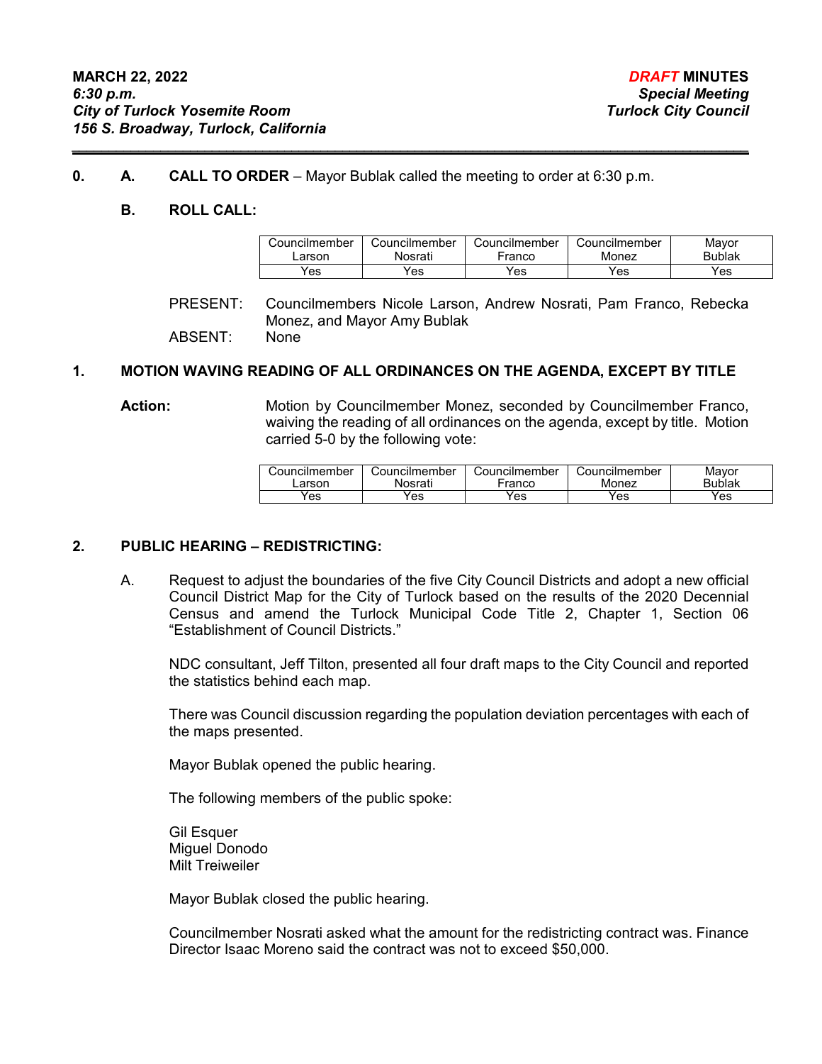**0. A. CALL TO ORDER** – Mayor Bublak called the meeting to order at 6:30 p.m.

## **B. ROLL CALL:**

| Councilmember | Councilmember | Councilmember | Councilmember | Mayor  |
|---------------|---------------|---------------|---------------|--------|
| arson         | Nosrati       | ⊑ranco        | Monez         | Bublak |
| Yes           | Yes           | Yes           | Yes           | Yes.   |

PRESENT: Councilmembers Nicole Larson, Andrew Nosrati, Pam Franco, Rebecka Monez, and Mayor Amy Bublak ABSENT: None

### **1. MOTION WAVING READING OF ALL ORDINANCES ON THE AGENDA, EXCEPT BY TITLE**

*\_\_\_\_\_\_\_\_\_\_\_\_\_\_\_\_\_\_\_\_\_\_\_\_\_\_\_\_\_\_\_\_\_\_\_\_\_\_\_\_\_\_\_\_\_\_\_\_\_\_\_\_\_\_\_\_\_\_\_\_\_\_\_\_\_\_\_\_\_\_\_\_\_\_\_\_\_\_\_\_\_\_\_\_\_\_\_\_\_\_\_\_\_* 

Action: **Motion by Councilmember Monez, seconded by Councilmember Franco,** waiving the reading of all ordinances on the agenda, except by title. Motion carried 5-0 by the following vote:

| Councilmember | Councilmember | Councilmember | Councilmember_ | Mavor         |
|---------------|---------------|---------------|----------------|---------------|
| _arson        | Nosrati       | -ranco        | Monez          | <b>Bublak</b> |
| Yes           | Yes           | Yes           | Yes            | Yes           |

### **2. PUBLIC HEARING – REDISTRICTING:**

A. Request to adjust the boundaries of the five City Council Districts and adopt a new official Council District Map for the City of Turlock based on the results of the 2020 Decennial Census and amend the Turlock Municipal Code Title 2, Chapter 1, Section 06 "Establishment of Council Districts."

NDC consultant, Jeff Tilton, presented all four draft maps to the City Council and reported the statistics behind each map.

There was Council discussion regarding the population deviation percentages with each of the maps presented.

Mayor Bublak opened the public hearing.

The following members of the public spoke:

Gil Esquer Miguel Donodo Milt Treiweiler

Mayor Bublak closed the public hearing.

Councilmember Nosrati asked what the amount for the redistricting contract was. Finance Director Isaac Moreno said the contract was not to exceed \$50,000.